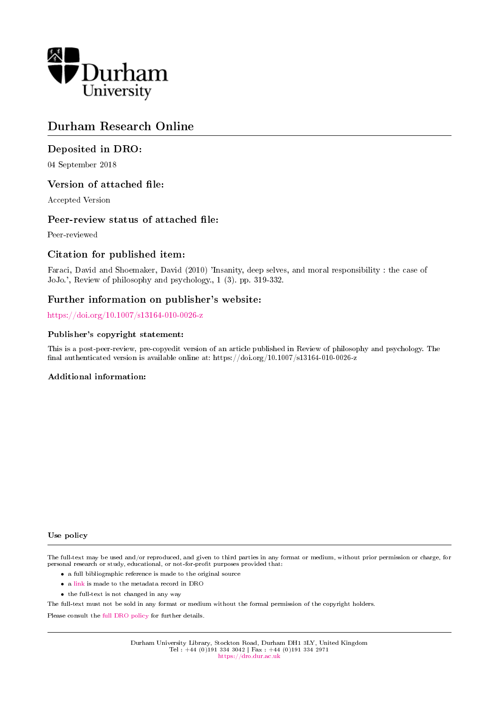

# Durham Research Online

## Deposited in DRO:

04 September 2018

### Version of attached file:

Accepted Version

### Peer-review status of attached file:

Peer-reviewed

## Citation for published item:

Faraci, David and Shoemaker, David (2010) 'Insanity, deep selves, and moral responsibility : the case of JoJo.', Review of philosophy and psychology., 1 (3). pp. 319-332.

### Further information on publisher's website:

<https://doi.org/10.1007/s13164-010-0026-z>

#### Publisher's copyright statement:

This is a post-peer-review, pre-copyedit version of an article published in Review of philosophy and psychology. The final authenticated version is available online at: https://doi.org/10.1007/s13164-010-0026-z

#### Additional information:

#### Use policy

The full-text may be used and/or reproduced, and given to third parties in any format or medium, without prior permission or charge, for personal research or study, educational, or not-for-profit purposes provided that:

- a full bibliographic reference is made to the original source
- a [link](http://dro.dur.ac.uk/26066/) is made to the metadata record in DRO
- the full-text is not changed in any way

The full-text must not be sold in any format or medium without the formal permission of the copyright holders.

Please consult the [full DRO policy](https://dro.dur.ac.uk/policies/usepolicy.pdf) for further details.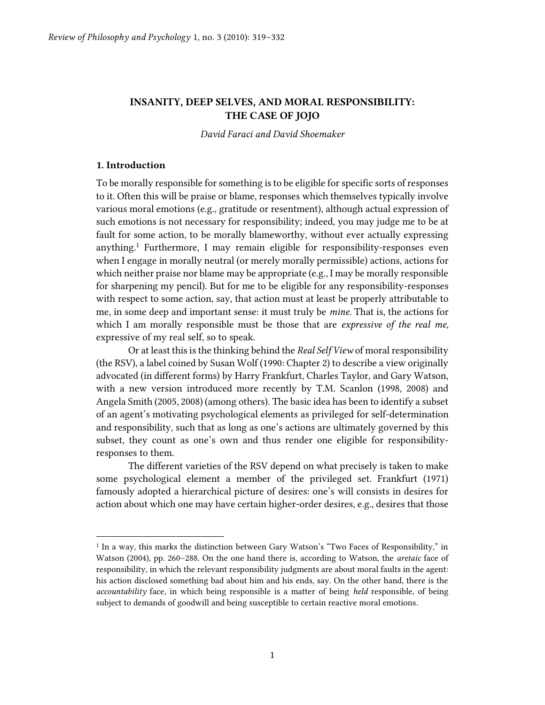## **INSANITY, DEEP SELVES, AND MORAL RESPONSIBILITY: THE CASE OF JOJO**

*David Faraci and David Shoemaker*

#### **1. Introduction**

 $\overline{a}$ 

To be morally responsible for something is to be eligible for specific sorts of responses to it. Often this will be praise or blame, responses which themselves typically involve various moral emotions (e.g., gratitude or resentment), although actual expression of such emotions is not necessary for responsibility; indeed, you may judge me to be at fault for some action, to be morally blameworthy, without ever actually expressing anything.<sup>1</sup> Furthermore, I may remain eligible for responsibility-responses even when I engage in morally neutral (or merely morally permissible) actions, actions for which neither praise nor blame may be appropriate (e.g., I may be morally responsible for sharpening my pencil). But for me to be eligible for any responsibility-responses with respect to some action, say, that action must at least be properly attributable to me, in some deep and important sense: it must truly be *mine.* That is, the actions for which I am morally responsible must be those that are *expressive of the real me,* expressive of my real self, so to speak.

Or at least this is the thinking behind the *Real Self View* of moral responsibility (the RSV), a label coined by Susan Wolf (1990: Chapter 2) to describe a view originally advocated (in different forms) by Harry Frankfurt, Charles Taylor, and Gary Watson, with a new version introduced more recently by T.M. Scanlon (1998, 2008) and Angela Smith (2005, 2008) (among others). The basic idea has been to identify a subset of an agent's motivating psychological elements as privileged for self-determination and responsibility, such that as long as one's actions are ultimately governed by this subset, they count as one's own and thus render one eligible for responsibilityresponses to them.

The different varieties of the RSV depend on what precisely is taken to make some psychological element a member of the privileged set. Frankfurt (1971) famously adopted a hierarchical picture of desires: one's will consists in desires for action about which one may have certain higher-order desires, e.g., desires that those

<sup>&</sup>lt;sup>1</sup> In a way, this marks the distinction between Gary Watson's "Two Faces of Responsibility," in Watson (2004), pp. 260–288. On the one hand there is, according to Watson, the *aretaic* face of responsibility, in which the relevant responsibility judgments are about moral faults in the agent: his action disclosed something bad about him and his ends, say. On the other hand, there is the *accountability* face, in which being responsible is a matter of being *held* responsible, of being subject to demands of goodwill and being susceptible to certain reactive moral emotions.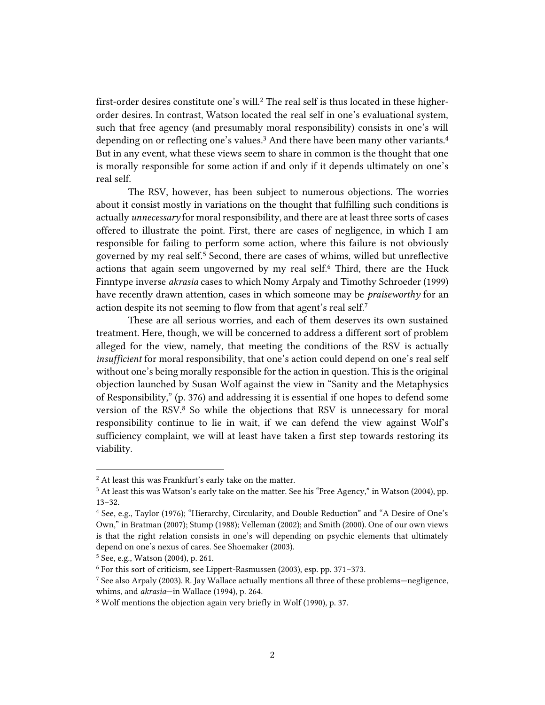first-order desires constitute one's will.<sup>2</sup> The real self is thus located in these higherorder desires. In contrast, Watson located the real self in one's evaluational system, such that free agency (and presumably moral responsibility) consists in one's will depending on or reflecting one's values.<sup>3</sup> And there have been many other variants.<sup>4</sup> But in any event, what these views seem to share in common is the thought that one is morally responsible for some action if and only if it depends ultimately on one's real self.

The RSV, however, has been subject to numerous objections. The worries about it consist mostly in variations on the thought that fulfilling such conditions is actually *unnecessary* for moral responsibility, and there are at least three sorts of cases offered to illustrate the point. First, there are cases of negligence, in which I am responsible for failing to perform some action, where this failure is not obviously governed by my real self.<sup>5</sup> Second, there are cases of whims, willed but unreflective actions that again seem ungoverned by my real self.<sup>6</sup> Third, there are the Huck Finntype inverse *akrasia* cases to which Nomy Arpaly and Timothy Schroeder (1999) have recently drawn attention, cases in which someone may be *praiseworthy* for an action despite its not seeming to flow from that agent's real self.<sup>7</sup>

These are all serious worries, and each of them deserves its own sustained treatment. Here, though, we will be concerned to address a different sort of problem alleged for the view, namely, that meeting the conditions of the RSV is actually *insufficient* for moral responsibility, that one's action could depend on one's real self without one's being morally responsible for the action in question. This is the original objection launched by Susan Wolf against the view in "Sanity and the Metaphysics of Responsibility," (p. 376) and addressing it is essential if one hopes to defend some version of the  $RSV<sup>8</sup>$  So while the objections that RSV is unnecessary for moral responsibility continue to lie in wait, if we can defend the view against Wolf's sufficiency complaint, we will at least have taken a first step towards restoring its viability.

<sup>&</sup>lt;sup>2</sup> At least this was Frankfurt's early take on the matter.

<sup>3</sup> At least this was Watson's early take on the matter. See his "Free Agency," in Watson (2004), pp. 13–32.

<sup>4</sup> See, e.g., Taylor (1976); "Hierarchy, Circularity, and Double Reduction" and "A Desire of One's Own," in Bratman (2007); Stump (1988); Velleman (2002); and Smith (2000). One of our own views is that the right relation consists in one's will depending on psychic elements that ultimately depend on one's nexus of cares. See Shoemaker (2003).

<sup>5</sup> See, e.g., Watson (2004), p. 261.

<sup>6</sup> For this sort of criticism, see Lippert-Rasmussen (2003), esp. pp. 371–373.

<sup>7</sup> See also Arpaly (2003). R. Jay Wallace actually mentions all three of these problems—negligence, whims, and *akrasia*—in Wallace (1994), p. 264.

<sup>8</sup> Wolf mentions the objection again very briefly in Wolf (1990), p. 37.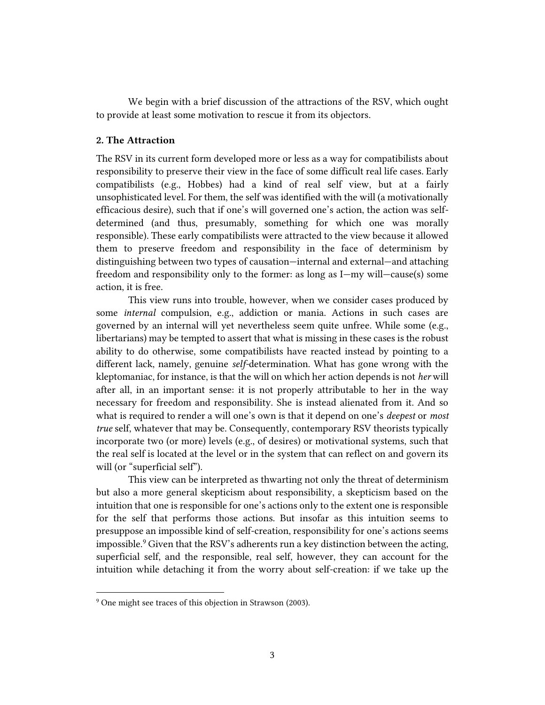We begin with a brief discussion of the attractions of the RSV, which ought to provide at least some motivation to rescue it from its objectors.

#### **2. The Attraction**

The RSV in its current form developed more or less as a way for compatibilists about responsibility to preserve their view in the face of some difficult real life cases. Early compatibilists (e.g., Hobbes) had a kind of real self view, but at a fairly unsophisticated level. For them, the self was identified with the will (a motivationally efficacious desire), such that if one's will governed one's action, the action was selfdetermined (and thus, presumably, something for which one was morally responsible). These early compatibilists were attracted to the view because it allowed them to preserve freedom and responsibility in the face of determinism by distinguishing between two types of causation—internal and external—and attaching freedom and responsibility only to the former: as long as I—my will—cause(s) some action, it is free.

This view runs into trouble, however, when we consider cases produced by some *internal* compulsion, e.g., addiction or mania. Actions in such cases are governed by an internal will yet nevertheless seem quite unfree. While some (e.g., libertarians) may be tempted to assert that what is missing in these cases is the robust ability to do otherwise, some compatibilists have reacted instead by pointing to a different lack, namely, genuine *self-*determination. What has gone wrong with the kleptomaniac, for instance, is that the will on which her action depends is not *her* will after all, in an important sense: it is not properly attributable to her in the way necessary for freedom and responsibility. She is instead alienated from it. And so what is required to render a will one's own is that it depend on one's *deepest* or *most true* self, whatever that may be. Consequently, contemporary RSV theorists typically incorporate two (or more) levels (e.g., of desires) or motivational systems, such that the real self is located at the level or in the system that can reflect on and govern its will (or "superficial self").

This view can be interpreted as thwarting not only the threat of determinism but also a more general skepticism about responsibility, a skepticism based on the intuition that one is responsible for one's actions only to the extent one is responsible for the self that performs those actions. But insofar as this intuition seems to presuppose an impossible kind of self-creation, responsibility for one's actions seems impossible.<sup>9</sup> Given that the RSV's adherents run a key distinction between the acting, superficial self, and the responsible, real self, however, they can account for the intuition while detaching it from the worry about self-creation: if we take up the

<sup>9</sup> One might see traces of this objection in Strawson (2003).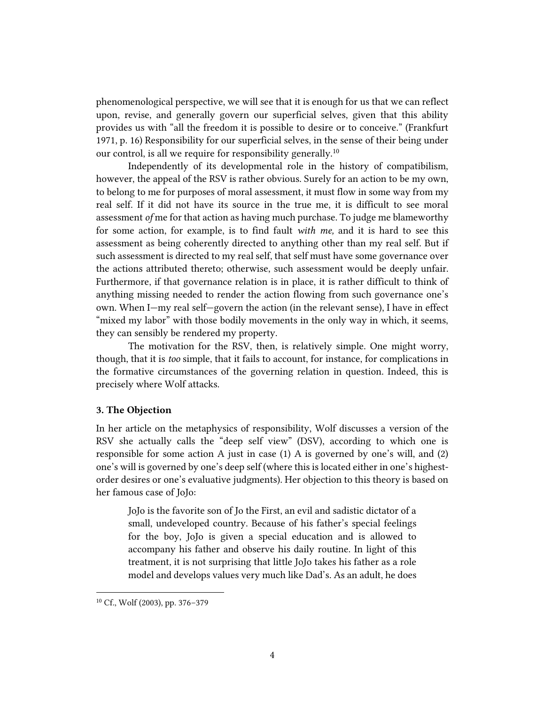phenomenological perspective, we will see that it is enough for us that we can reflect upon, revise, and generally govern our superficial selves, given that this ability provides us with "all the freedom it is possible to desire or to conceive." (Frankfurt 1971, p. 16) Responsibility for our superficial selves, in the sense of their being under our control, is all we require for responsibility generally.<sup>10</sup>

Independently of its developmental role in the history of compatibilism, however, the appeal of the RSV is rather obvious. Surely for an action to be my own, to belong to me for purposes of moral assessment, it must flow in some way from my real self. If it did not have its source in the true me, it is difficult to see moral assessment *of* me for that action as having much purchase. To judge me blameworthy for some action, for example, is to find fault *with me,* and it is hard to see this assessment as being coherently directed to anything other than my real self. But if such assessment is directed to my real self, that self must have some governance over the actions attributed thereto; otherwise, such assessment would be deeply unfair. Furthermore, if that governance relation is in place, it is rather difficult to think of anything missing needed to render the action flowing from such governance one's own. When I—my real self—govern the action (in the relevant sense), I have in effect "mixed my labor" with those bodily movements in the only way in which, it seems, they can sensibly be rendered my property.

The motivation for the RSV, then, is relatively simple. One might worry, though, that it is *too* simple, that it fails to account, for instance, for complications in the formative circumstances of the governing relation in question. Indeed, this is precisely where Wolf attacks.

#### **3. The Objection**

In her article on the metaphysics of responsibility, Wolf discusses a version of the RSV she actually calls the "deep self view" (DSV), according to which one is responsible for some action A just in case (1) A is governed by one's will, and (2) one's will is governed by one's deep self (where this is located either in one's highestorder desires or one's evaluative judgments). Her objection to this theory is based on her famous case of JoJo:

JoJo is the favorite son of Jo the First, an evil and sadistic dictator of a small, undeveloped country. Because of his father's special feelings for the boy, JoJo is given a special education and is allowed to accompany his father and observe his daily routine. In light of this treatment, it is not surprising that little JoJo takes his father as a role model and develops values very much like Dad's. As an adult, he does

<sup>10</sup> Cf., Wolf (2003), pp. 376–379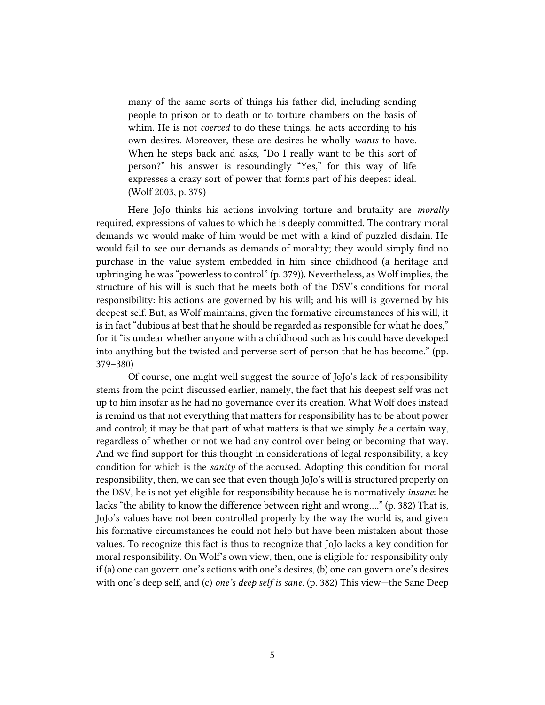many of the same sorts of things his father did, including sending people to prison or to death or to torture chambers on the basis of whim. He is not *coerced* to do these things, he acts according to his own desires. Moreover, these are desires he wholly *wants* to have. When he steps back and asks, "Do I really want to be this sort of person?" his answer is resoundingly "Yes," for this way of life expresses a crazy sort of power that forms part of his deepest ideal. (Wolf 2003, p. 379)

Here JoJo thinks his actions involving torture and brutality are *morally* required, expressions of values to which he is deeply committed. The contrary moral demands we would make of him would be met with a kind of puzzled disdain. He would fail to see our demands as demands of morality; they would simply find no purchase in the value system embedded in him since childhood (a heritage and upbringing he was "powerless to control" (p. 379)). Nevertheless, as Wolf implies, the structure of his will is such that he meets both of the DSV's conditions for moral responsibility: his actions are governed by his will; and his will is governed by his deepest self. But, as Wolf maintains, given the formative circumstances of his will, it is in fact "dubious at best that he should be regarded as responsible for what he does," for it "is unclear whether anyone with a childhood such as his could have developed into anything but the twisted and perverse sort of person that he has become." (pp. 379–380)

Of course, one might well suggest the source of JoJo's lack of responsibility stems from the point discussed earlier, namely, the fact that his deepest self was not up to him insofar as he had no governance over its creation. What Wolf does instead is remind us that not everything that matters for responsibility has to be about power and control; it may be that part of what matters is that we simply *be* a certain way, regardless of whether or not we had any control over being or becoming that way. And we find support for this thought in considerations of legal responsibility, a key condition for which is the *sanity* of the accused. Adopting this condition for moral responsibility, then, we can see that even though JoJo's will is structured properly on the DSV, he is not yet eligible for responsibility because he is normatively *insane*: he lacks "the ability to know the difference between right and wrong…." (p. 382) That is, JoJo's values have not been controlled properly by the way the world is, and given his formative circumstances he could not help but have been mistaken about those values. To recognize this fact is thus to recognize that JoJo lacks a key condition for moral responsibility. On Wolf's own view, then, one is eligible for responsibility only if (a) one can govern one's actions with one's desires, (b) one can govern one's desires with one's deep self, and (c) *one's deep self is sane.* (p. 382) This view—the Sane Deep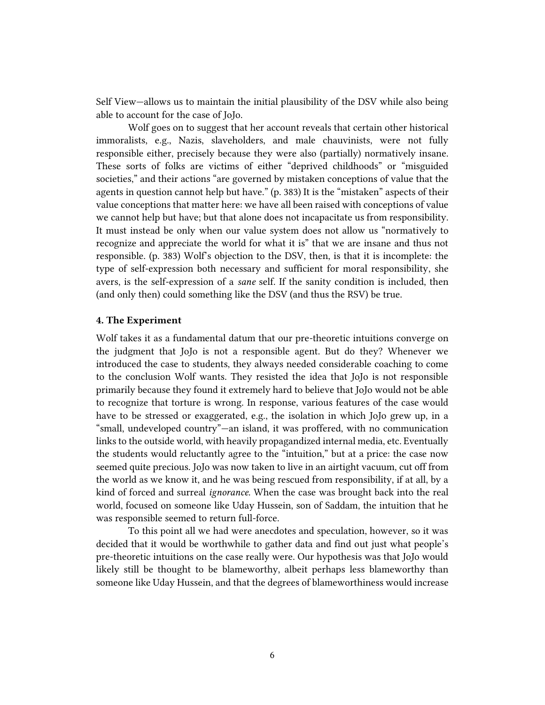Self View—allows us to maintain the initial plausibility of the DSV while also being able to account for the case of JoJo.

Wolf goes on to suggest that her account reveals that certain other historical immoralists, e.g., Nazis, slaveholders, and male chauvinists, were not fully responsible either, precisely because they were also (partially) normatively insane. These sorts of folks are victims of either "deprived childhoods" or "misguided societies," and their actions "are governed by mistaken conceptions of value that the agents in question cannot help but have." (p. 383) It is the "mistaken" aspects of their value conceptions that matter here: we have all been raised with conceptions of value we cannot help but have; but that alone does not incapacitate us from responsibility. It must instead be only when our value system does not allow us "normatively to recognize and appreciate the world for what it is" that we are insane and thus not responsible. (p. 383) Wolf's objection to the DSV, then, is that it is incomplete: the type of self-expression both necessary and sufficient for moral responsibility, she avers, is the self-expression of a *sane* self. If the sanity condition is included, then (and only then) could something like the DSV (and thus the RSV) be true.

#### **4. The Experiment**

Wolf takes it as a fundamental datum that our pre-theoretic intuitions converge on the judgment that JoJo is not a responsible agent. But do they? Whenever we introduced the case to students, they always needed considerable coaching to come to the conclusion Wolf wants. They resisted the idea that JoJo is not responsible primarily because they found it extremely hard to believe that JoJo would not be able to recognize that torture is wrong. In response, various features of the case would have to be stressed or exaggerated, e.g., the isolation in which JoJo grew up, in a "small, undeveloped country"—an island, it was proffered, with no communication links to the outside world, with heavily propagandized internal media, etc. Eventually the students would reluctantly agree to the "intuition," but at a price: the case now seemed quite precious. JoJo was now taken to live in an airtight vacuum, cut off from the world as we know it, and he was being rescued from responsibility, if at all, by a kind of forced and surreal *ignorance.* When the case was brought back into the real world, focused on someone like Uday Hussein, son of Saddam, the intuition that he was responsible seemed to return full-force.

To this point all we had were anecdotes and speculation, however, so it was decided that it would be worthwhile to gather data and find out just what people's pre-theoretic intuitions on the case really were. Our hypothesis was that JoJo would likely still be thought to be blameworthy, albeit perhaps less blameworthy than someone like Uday Hussein, and that the degrees of blameworthiness would increase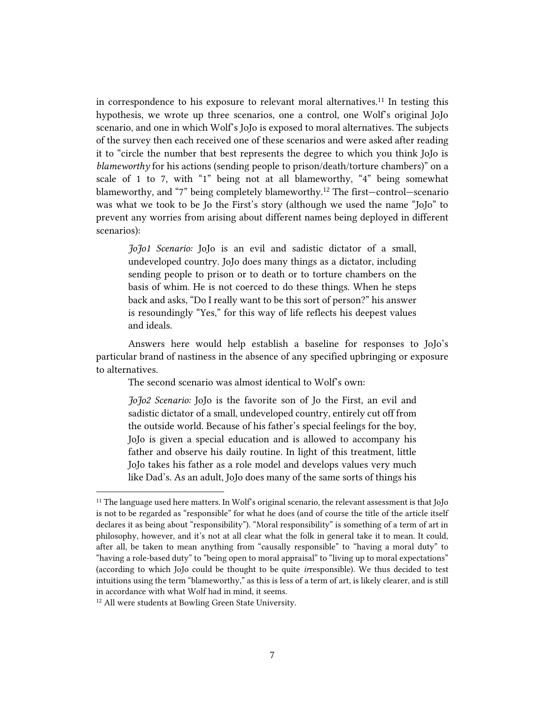in correspondence to his exposure to relevant moral alternatives.<sup>11</sup> In testing this hypothesis, we wrote up three scenarios, one a control, one Wolf's original JoJo scenario, and one in which Wolf's JoJo is exposed to moral alternatives. The subjects of the survey then each received one of these scenarios and were asked after reading it to "circle the number that best represents the degree to which you think JoJo is *blameworthy* for his actions (sending people to prison/death/torture chambers)" on a scale of 1 to 7, with "1" being not at all blameworthy, "4" being somewhat blameworthy, and "7" being completely blameworthy.<sup>12</sup> The first—control—scenario was what we took to be Jo the First's story (although we used the name "JoJo" to prevent any worries from arising about different names being deployed in different scenarios):

*JoJo1 Scenario:* JoJo is an evil and sadistic dictator of a small, undeveloped country. JoJo does many things as a dictator, including sending people to prison or to death or to torture chambers on the basis of whim. He is not coerced to do these things. When he steps back and asks, "Do I really want to be this sort of person?" his answer is resoundingly "Yes," for this way of life reflects his deepest values and ideals.

Answers here would help establish a baseline for responses to JoJo's particular brand of nastiness in the absence of any specified upbringing or exposure to alternatives.

The second scenario was almost identical to Wolf's own:

*JoJo2 Scenario:* JoJo is the favorite son of Jo the First, an evil and sadistic dictator of a small, undeveloped country, entirely cut off from the outside world. Because of his father's special feelings for the boy, JoJo is given a special education and is allowed to accompany his father and observe his daily routine. In light of this treatment, little JoJo takes his father as a role model and develops values very much like Dad's. As an adult, JoJo does many of the same sorts of things his

<sup>&</sup>lt;sup>11</sup> The language used here matters. In Wolf's original scenario, the relevant assessment is that  $Joj$ o is not to be regarded as "responsible" for what he does (and of course the title of the article itself declares it as being about "responsibility"). "Moral responsibility" is something of a term of art in philosophy, however, and it's not at all clear what the folk in general take it to mean. It could, after all, be taken to mean anything from "causally responsible" to "having a moral duty" to "having a role-based duty" to "being open to moral appraisal" to "living up to moral expectations" (according to which JoJo could be thought to be quite *ir*responsible). We thus decided to test intuitions using the term "blameworthy," as this is less of a term of art, is likely clearer, and is still in accordance with what Wolf had in mind, it seems.

<sup>&</sup>lt;sup>12</sup> All were students at Bowling Green State University.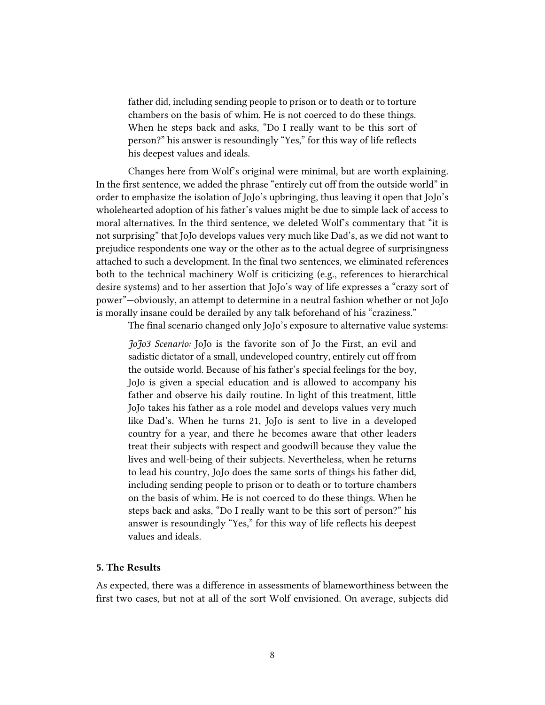father did, including sending people to prison or to death or to torture chambers on the basis of whim. He is not coerced to do these things. When he steps back and asks, "Do I really want to be this sort of person?" his answer is resoundingly "Yes," for this way of life reflects his deepest values and ideals.

Changes here from Wolf's original were minimal, but are worth explaining. In the first sentence, we added the phrase "entirely cut off from the outside world" in order to emphasize the isolation of JoJo's upbringing, thus leaving it open that JoJo's wholehearted adoption of his father's values might be due to simple lack of access to moral alternatives. In the third sentence, we deleted Wolf's commentary that "it is not surprising" that JoJo develops values very much like Dad's, as we did not want to prejudice respondents one way or the other as to the actual degree of surprisingness attached to such a development. In the final two sentences, we eliminated references both to the technical machinery Wolf is criticizing (e.g., references to hierarchical desire systems) and to her assertion that JoJo's way of life expresses a "crazy sort of power"—obviously, an attempt to determine in a neutral fashion whether or not JoJo is morally insane could be derailed by any talk beforehand of his "craziness."

The final scenario changed only JoJo's exposure to alternative value systems:

*JoJo3 Scenario:* JoJo is the favorite son of Jo the First, an evil and sadistic dictator of a small, undeveloped country, entirely cut off from the outside world. Because of his father's special feelings for the boy, JoJo is given a special education and is allowed to accompany his father and observe his daily routine. In light of this treatment, little JoJo takes his father as a role model and develops values very much like Dad's. When he turns 21, JoJo is sent to live in a developed country for a year, and there he becomes aware that other leaders treat their subjects with respect and goodwill because they value the lives and well-being of their subjects. Nevertheless, when he returns to lead his country, JoJo does the same sorts of things his father did, including sending people to prison or to death or to torture chambers on the basis of whim. He is not coerced to do these things. When he steps back and asks, "Do I really want to be this sort of person?" his answer is resoundingly "Yes," for this way of life reflects his deepest values and ideals.

### **5. The Results**

As expected, there was a difference in assessments of blameworthiness between the first two cases, but not at all of the sort Wolf envisioned. On average, subjects did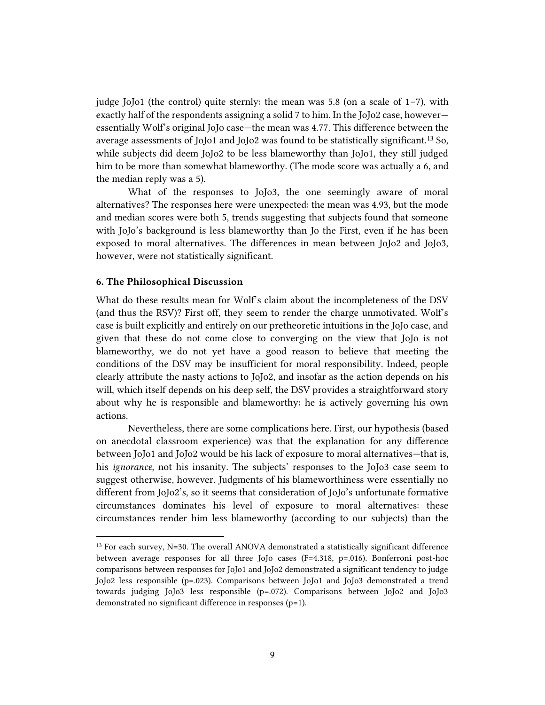judge JoJo1 (the control) quite sternly: the mean was 5.8 (on a scale of 1–7), with exactly half of the respondents assigning a solid 7 to him. In the JoJo2 case, however essentially Wolf's original JoJo case—the mean was 4.77. This difference between the average assessments of JoJo1 and JoJo2 was found to be statistically significant.<sup>13</sup> So, while subjects did deem JoJo2 to be less blameworthy than JoJo1, they still judged him to be more than somewhat blameworthy. (The mode score was actually a 6, and the median reply was a 5).

What of the responses to JoJo3, the one seemingly aware of moral alternatives? The responses here were unexpected: the mean was 4.93, but the mode and median scores were both 5, trends suggesting that subjects found that someone with JoJo's background is less blameworthy than Jo the First, even if he has been exposed to moral alternatives. The differences in mean between JoJo2 and JoJo3, however, were not statistically significant.

#### **6. The Philosophical Discussion**

 $\overline{a}$ 

What do these results mean for Wolf's claim about the incompleteness of the DSV (and thus the RSV)? First off, they seem to render the charge unmotivated. Wolf's case is built explicitly and entirely on our pretheoretic intuitions in the JoJo case, and given that these do not come close to converging on the view that JoJo is not blameworthy, we do not yet have a good reason to believe that meeting the conditions of the DSV may be insufficient for moral responsibility. Indeed, people clearly attribute the nasty actions to JoJo2, and insofar as the action depends on his will, which itself depends on his deep self, the DSV provides a straightforward story about why he is responsible and blameworthy: he is actively governing his own actions.

Nevertheless, there are some complications here. First, our hypothesis (based on anecdotal classroom experience) was that the explanation for any difference between JoJo1 and JoJo2 would be his lack of exposure to moral alternatives—that is, his *ignorance,* not his insanity. The subjects' responses to the JoJo3 case seem to suggest otherwise, however. Judgments of his blameworthiness were essentially no different from JoJo2's, so it seems that consideration of JoJo's unfortunate formative circumstances dominates his level of exposure to moral alternatives: these circumstances render him less blameworthy (according to our subjects) than the

 $13$  For each survey, N=30. The overall ANOVA demonstrated a statistically significant difference between average responses for all three JoJo cases (F=4.318, p=.016). Bonferroni post-hoc comparisons between responses for JoJo1 and JoJo2 demonstrated a significant tendency to judge JoJo2 less responsible (p=.023). Comparisons between JoJo1 and JoJo3 demonstrated a trend towards judging JoJo3 less responsible (p=.072). Comparisons between JoJo2 and JoJo3 demonstrated no significant difference in responses (p=1).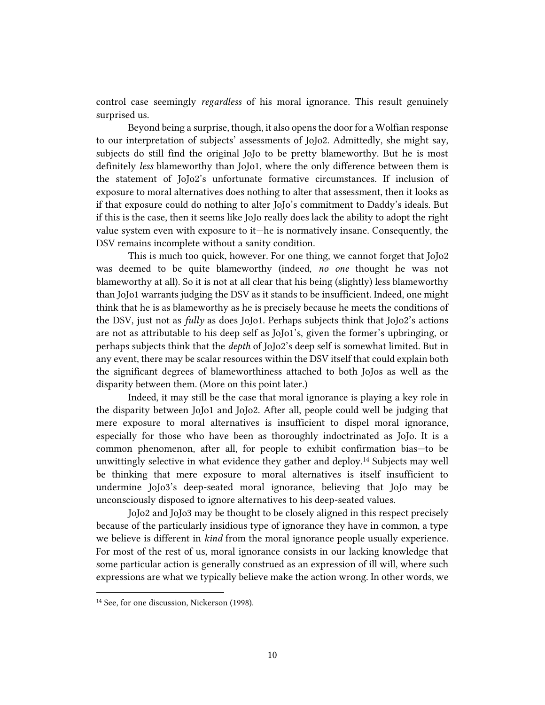control case seemingly *regardless* of his moral ignorance. This result genuinely surprised us.

Beyond being a surprise, though, it also opens the door for a Wolfian response to our interpretation of subjects' assessments of JoJo2. Admittedly, she might say, subjects do still find the original JoJo to be pretty blameworthy. But he is most definitely *less* blameworthy than JoJo1, where the only difference between them is the statement of JoJo2's unfortunate formative circumstances. If inclusion of exposure to moral alternatives does nothing to alter that assessment, then it looks as if that exposure could do nothing to alter JoJo's commitment to Daddy's ideals. But if this is the case, then it seems like JoJo really does lack the ability to adopt the right value system even with exposure to it—he is normatively insane. Consequently, the DSV remains incomplete without a sanity condition.

This is much too quick, however. For one thing, we cannot forget that JoJo2 was deemed to be quite blameworthy (indeed, *no one* thought he was not blameworthy at all). So it is not at all clear that his being (slightly) less blameworthy than JoJo1 warrants judging the DSV as it stands to be insufficient. Indeed, one might think that he is as blameworthy as he is precisely because he meets the conditions of the DSV, just not as *fully* as does JoJo1. Perhaps subjects think that JoJo2's actions are not as attributable to his deep self as JoJo1's, given the former's upbringing, or perhaps subjects think that the *depth* of JoJo2's deep self is somewhat limited. But in any event, there may be scalar resources within the DSV itself that could explain both the significant degrees of blameworthiness attached to both JoJos as well as the disparity between them. (More on this point later.)

Indeed, it may still be the case that moral ignorance is playing a key role in the disparity between JoJo1 and JoJo2. After all, people could well be judging that mere exposure to moral alternatives is insufficient to dispel moral ignorance, especially for those who have been as thoroughly indoctrinated as JoJo. It is a common phenomenon, after all, for people to exhibit confirmation bias—to be unwittingly selective in what evidence they gather and deploy.<sup>14</sup> Subjects may well be thinking that mere exposure to moral alternatives is itself insufficient to undermine JoJo3's deep-seated moral ignorance, believing that JoJo may be unconsciously disposed to ignore alternatives to his deep-seated values.

JoJo2 and JoJo3 may be thought to be closely aligned in this respect precisely because of the particularly insidious type of ignorance they have in common, a type we believe is different in *kind* from the moral ignorance people usually experience. For most of the rest of us, moral ignorance consists in our lacking knowledge that some particular action is generally construed as an expression of ill will, where such expressions are what we typically believe make the action wrong. In other words, we

<sup>14</sup> See, for one discussion, Nickerson (1998).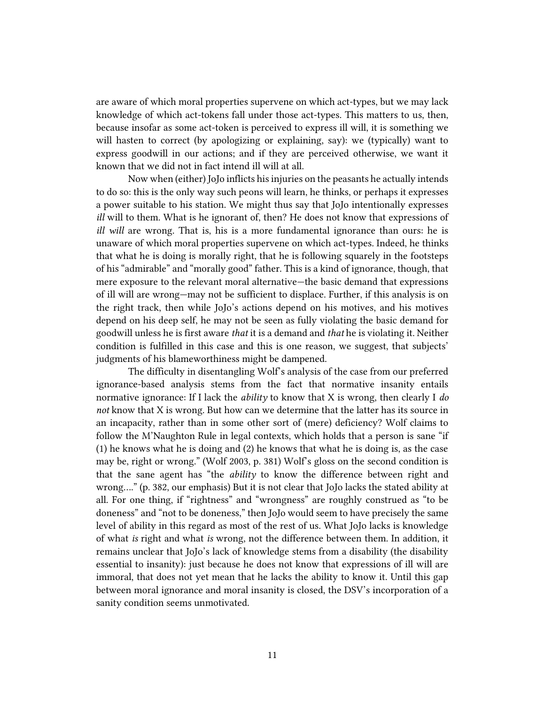are aware of which moral properties supervene on which act-types, but we may lack knowledge of which act-tokens fall under those act-types. This matters to us, then, because insofar as some act-token is perceived to express ill will, it is something we will hasten to correct (by apologizing or explaining, say): we (typically) want to express goodwill in our actions; and if they are perceived otherwise, we want it known that we did not in fact intend ill will at all.

Now when (either) JoJo inflicts his injuries on the peasants he actually intends to do so: this is the only way such peons will learn, he thinks, or perhaps it expresses a power suitable to his station. We might thus say that JoJo intentionally expresses *ill* will to them. What is he ignorant of, then? He does not know that expressions of *ill will* are wrong. That is, his is a more fundamental ignorance than ours: he is unaware of which moral properties supervene on which act-types. Indeed, he thinks that what he is doing is morally right, that he is following squarely in the footsteps of his "admirable" and "morally good" father. This is a kind of ignorance, though, that mere exposure to the relevant moral alternative—the basic demand that expressions of ill will are wrong—may not be sufficient to displace. Further, if this analysis is on the right track, then while JoJo's actions depend on his motives, and his motives depend on his deep self, he may not be seen as fully violating the basic demand for goodwill unless he is first aware *that* it is a demand and *that* he is violating it. Neither condition is fulfilled in this case and this is one reason, we suggest, that subjects' judgments of his blameworthiness might be dampened.

The difficulty in disentangling Wolf's analysis of the case from our preferred ignorance-based analysis stems from the fact that normative insanity entails normative ignorance: If I lack the *ability* to know that X is wrong, then clearly I *do not* know that X is wrong. But how can we determine that the latter has its source in an incapacity, rather than in some other sort of (mere) deficiency? Wolf claims to follow the M'Naughton Rule in legal contexts, which holds that a person is sane "if (1) he knows what he is doing and (2) he knows that what he is doing is, as the case may be, right or wrong." (Wolf 2003, p. 381) Wolf's gloss on the second condition is that the sane agent has "the *ability* to know the difference between right and wrong…." (p. 382, our emphasis) But it is not clear that JoJo lacks the stated ability at all. For one thing, if "rightness" and "wrongness" are roughly construed as "to be doneness" and "not to be doneness," then JoJo would seem to have precisely the same level of ability in this regard as most of the rest of us. What JoJo lacks is knowledge of what *is* right and what *is* wrong, not the difference between them. In addition, it remains unclear that JoJo's lack of knowledge stems from a disability (the disability essential to insanity): just because he does not know that expressions of ill will are immoral, that does not yet mean that he lacks the ability to know it. Until this gap between moral ignorance and moral insanity is closed, the DSV's incorporation of a sanity condition seems unmotivated.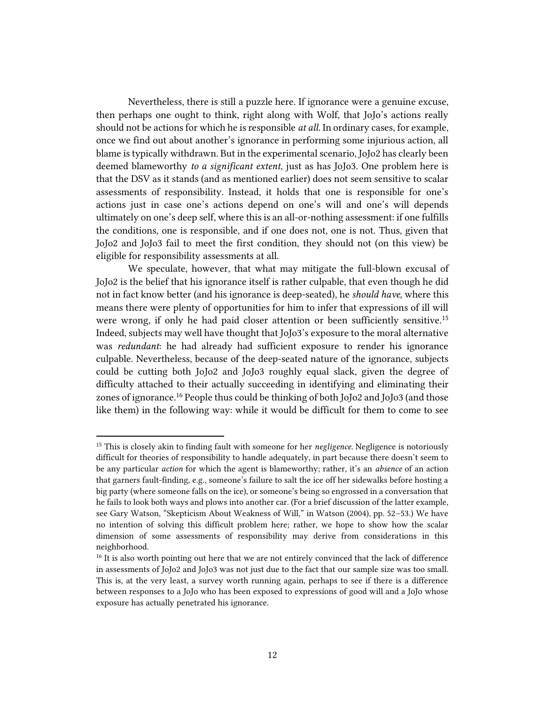Nevertheless, there is still a puzzle here. If ignorance were a genuine excuse, then perhaps one ought to think, right along with Wolf, that JoJo's actions really should not be actions for which he is responsible *at all.* In ordinary cases, for example, once we find out about another's ignorance in performing some injurious action, all blame is typically withdrawn. But in the experimental scenario, JoJo2 has clearly been deemed blameworthy *to a significant extent,* just as has JoJo3. One problem here is that the DSV as it stands (and as mentioned earlier) does not seem sensitive to scalar assessments of responsibility. Instead, it holds that one is responsible for one's actions just in case one's actions depend on one's will and one's will depends ultimately on one's deep self, where this is an all-or-nothing assessment: if one fulfills the conditions, one is responsible, and if one does not, one is not. Thus, given that JoJo2 and JoJo3 fail to meet the first condition, they should not (on this view) be eligible for responsibility assessments at all.

We speculate, however, that what may mitigate the full-blown excusal of JoJo2 is the belief that his ignorance itself is rather culpable, that even though he did not in fact know better (and his ignorance is deep-seated), he *should have,* where this means there were plenty of opportunities for him to infer that expressions of ill will were wrong, if only he had paid closer attention or been sufficiently sensitive.<sup>15</sup> Indeed, subjects may well have thought that JoJo3's exposure to the moral alternative was *redundant*: he had already had sufficient exposure to render his ignorance culpable. Nevertheless, because of the deep-seated nature of the ignorance, subjects could be cutting both JoJo2 and JoJo3 roughly equal slack, given the degree of difficulty attached to their actually succeeding in identifying and eliminating their zones of ignorance.<sup>16</sup> People thus could be thinking of both JoJo2 and JoJo3 (and those like them) in the following way: while it would be difficult for them to come to see

<sup>15</sup> This is closely akin to finding fault with someone for her *negligence.* Negligence is notoriously difficult for theories of responsibility to handle adequately, in part because there doesn't seem to be any particular *action* for which the agent is blameworthy; rather, it's an *absence* of an action that garners fault-finding, e.g., someone's failure to salt the ice off her sidewalks before hosting a big party (where someone falls on the ice), or someone's being so engrossed in a conversation that he fails to look both ways and plows into another car. (For a brief discussion of the latter example, see Gary Watson, "Skepticism About Weakness of Will," in Watson (2004), pp. 52–53.) We have no intention of solving this difficult problem here; rather, we hope to show how the scalar dimension of some assessments of responsibility may derive from considerations in this neighborhood.

<sup>&</sup>lt;sup>16</sup> It is also worth pointing out here that we are not entirely convinced that the lack of difference in assessments of JoJo2 and JoJo3 was not just due to the fact that our sample size was too small. This is, at the very least, a survey worth running again, perhaps to see if there is a difference between responses to a JoJo who has been exposed to expressions of good will and a JoJo whose exposure has actually penetrated his ignorance.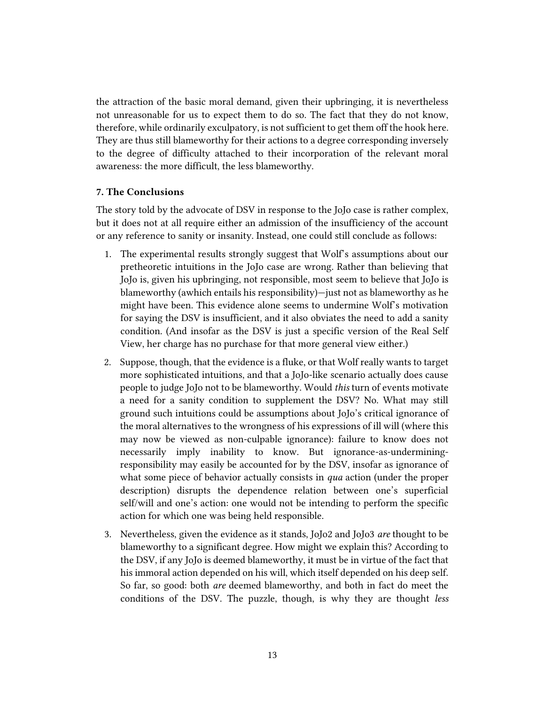the attraction of the basic moral demand, given their upbringing, it is nevertheless not unreasonable for us to expect them to do so. The fact that they do not know, therefore, while ordinarily exculpatory, is not sufficient to get them off the hook here. They are thus still blameworthy for their actions to a degree corresponding inversely to the degree of difficulty attached to their incorporation of the relevant moral awareness: the more difficult, the less blameworthy.

### **7. The Conclusions**

The story told by the advocate of DSV in response to the JoJo case is rather complex, but it does not at all require either an admission of the insufficiency of the account or any reference to sanity or insanity. Instead, one could still conclude as follows:

- 1. The experimental results strongly suggest that Wolf's assumptions about our pretheoretic intuitions in the JoJo case are wrong. Rather than believing that JoJo is, given his upbringing, not responsible, most seem to believe that JoJo is blameworthy (awhich entails his responsibility)—just not as blameworthy as he might have been. This evidence alone seems to undermine Wolf's motivation for saying the DSV is insufficient, and it also obviates the need to add a sanity condition. (And insofar as the DSV is just a specific version of the Real Self View, her charge has no purchase for that more general view either.)
- 2. Suppose, though, that the evidence is a fluke, or that Wolf really wants to target more sophisticated intuitions, and that a JoJo-like scenario actually does cause people to judge JoJo not to be blameworthy. Would *this* turn of events motivate a need for a sanity condition to supplement the DSV? No. What may still ground such intuitions could be assumptions about JoJo's critical ignorance of the moral alternatives to the wrongness of his expressions of ill will (where this may now be viewed as non-culpable ignorance): failure to know does not necessarily imply inability to know. But ignorance-as-underminingresponsibility may easily be accounted for by the DSV, insofar as ignorance of what some piece of behavior actually consists in *qua* action (under the proper description) disrupts the dependence relation between one's superficial self/will and one's action: one would not be intending to perform the specific action for which one was being held responsible.
- 3. Nevertheless, given the evidence as it stands, JoJo2 and JoJo3 *are* thought to be blameworthy to a significant degree. How might we explain this? According to the DSV, if any JoJo is deemed blameworthy, it must be in virtue of the fact that his immoral action depended on his will, which itself depended on his deep self. So far, so good: both *are* deemed blameworthy, and both in fact do meet the conditions of the DSV. The puzzle, though, is why they are thought *less*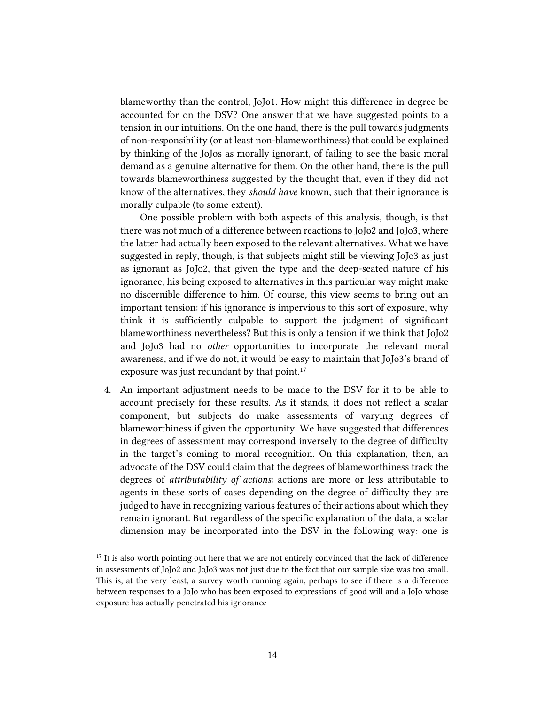blameworthy than the control, JoJo1. How might this difference in degree be accounted for on the DSV? One answer that we have suggested points to a tension in our intuitions. On the one hand, there is the pull towards judgments of non-responsibility (or at least non-blameworthiness) that could be explained by thinking of the JoJos as morally ignorant, of failing to see the basic moral demand as a genuine alternative for them. On the other hand, there is the pull towards blameworthiness suggested by the thought that, even if they did not know of the alternatives, they *should have* known, such that their ignorance is morally culpable (to some extent).

One possible problem with both aspects of this analysis, though, is that there was not much of a difference between reactions to JoJo2 and JoJo3, where the latter had actually been exposed to the relevant alternatives. What we have suggested in reply, though, is that subjects might still be viewing JoJo3 as just as ignorant as JoJo2, that given the type and the deep-seated nature of his ignorance, his being exposed to alternatives in this particular way might make no discernible difference to him. Of course, this view seems to bring out an important tension: if his ignorance is impervious to this sort of exposure, why think it is sufficiently culpable to support the judgment of significant blameworthiness nevertheless? But this is only a tension if we think that JoJo2 and JoJo3 had no *other* opportunities to incorporate the relevant moral awareness, and if we do not, it would be easy to maintain that JoJo3's brand of exposure was just redundant by that point.<sup>17</sup>

4. An important adjustment needs to be made to the DSV for it to be able to account precisely for these results. As it stands, it does not reflect a scalar component, but subjects do make assessments of varying degrees of blameworthiness if given the opportunity. We have suggested that differences in degrees of assessment may correspond inversely to the degree of difficulty in the target's coming to moral recognition. On this explanation, then, an advocate of the DSV could claim that the degrees of blameworthiness track the degrees of *attributability of actions*: actions are more or less attributable to agents in these sorts of cases depending on the degree of difficulty they are judged to have in recognizing various features of their actions about which they remain ignorant. But regardless of the specific explanation of the data, a scalar dimension may be incorporated into the DSV in the following way: one is

<sup>&</sup>lt;sup>17</sup> It is also worth pointing out here that we are not entirely convinced that the lack of difference in assessments of JoJo2 and JoJo3 was not just due to the fact that our sample size was too small. This is, at the very least, a survey worth running again, perhaps to see if there is a difference between responses to a JoJo who has been exposed to expressions of good will and a JoJo whose exposure has actually penetrated his ignorance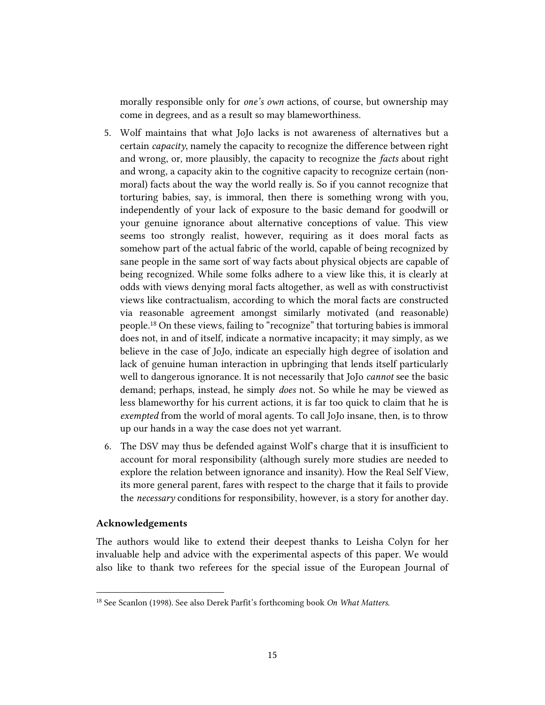morally responsible only for *one's own* actions, of course, but ownership may come in degrees, and as a result so may blameworthiness.

- 5. Wolf maintains that what JoJo lacks is not awareness of alternatives but a certain *capacity*, namely the capacity to recognize the difference between right and wrong, or, more plausibly, the capacity to recognize the *facts* about right and wrong, a capacity akin to the cognitive capacity to recognize certain (nonmoral) facts about the way the world really is. So if you cannot recognize that torturing babies, say, is immoral, then there is something wrong with you, independently of your lack of exposure to the basic demand for goodwill or your genuine ignorance about alternative conceptions of value. This view seems too strongly realist, however, requiring as it does moral facts as somehow part of the actual fabric of the world, capable of being recognized by sane people in the same sort of way facts about physical objects are capable of being recognized. While some folks adhere to a view like this, it is clearly at odds with views denying moral facts altogether, as well as with constructivist views like contractualism, according to which the moral facts are constructed via reasonable agreement amongst similarly motivated (and reasonable) people.<sup>18</sup> On these views, failing to "recognize" that torturing babies is immoral does not, in and of itself, indicate a normative incapacity; it may simply, as we believe in the case of JoJo, indicate an especially high degree of isolation and lack of genuine human interaction in upbringing that lends itself particularly well to dangerous ignorance. It is not necessarily that JoJo *cannot* see the basic demand; perhaps, instead, he simply *does* not. So while he may be viewed as less blameworthy for his current actions, it is far too quick to claim that he is *exempted* from the world of moral agents. To call JoJo insane, then, is to throw up our hands in a way the case does not yet warrant.
- 6. The DSV may thus be defended against Wolf's charge that it is insufficient to account for moral responsibility (although surely more studies are needed to explore the relation between ignorance and insanity). How the Real Self View, its more general parent, fares with respect to the charge that it fails to provide the *necessary* conditions for responsibility, however, is a story for another day.

### **Acknowledgements**

 $\overline{a}$ 

The authors would like to extend their deepest thanks to Leisha Colyn for her invaluable help and advice with the experimental aspects of this paper. We would also like to thank two referees for the special issue of the European Journal of

<sup>18</sup> See Scanlon (1998). See also Derek Parfit's forthcoming book *On What Matters.*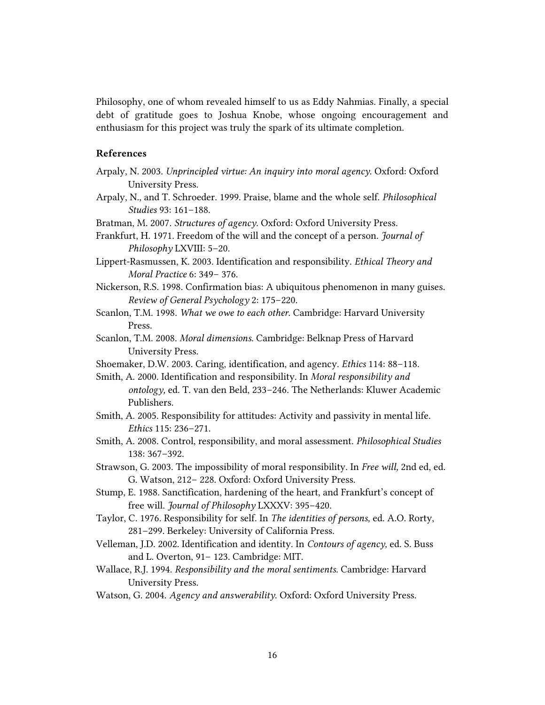Philosophy, one of whom revealed himself to us as Eddy Nahmias. Finally, a special debt of gratitude goes to Joshua Knobe, whose ongoing encouragement and enthusiasm for this project was truly the spark of its ultimate completion.

#### **References**

- Arpaly, N. 2003. *Unprincipled virtue: An inquiry into moral agency.* Oxford: Oxford University Press.
- Arpaly, N., and T. Schroeder. 1999. Praise, blame and the whole self. *Philosophical Studies* 93: 161–188.

Bratman, M. 2007. *Structures of agency.* Oxford: Oxford University Press.

- Frankfurt, H. 1971. Freedom of the will and the concept of a person. *Journal of Philosophy* LXVIII: 5–20.
- Lippert-Rasmussen, K. 2003. Identification and responsibility. *Ethical Theory and Moral Practice* 6: 349– 376.
- Nickerson, R.S. 1998. Confirmation bias: A ubiquitous phenomenon in many guises. *Review of General Psychology* 2: 175–220.
- Scanlon, T.M. 1998. *What we owe to each other.* Cambridge: Harvard University Press.
- Scanlon, T.M. 2008. *Moral dimensions.* Cambridge: Belknap Press of Harvard University Press.
- Shoemaker, D.W. 2003. Caring, identification, and agency. *Ethics* 114: 88–118.
- Smith, A. 2000. Identification and responsibility. In *Moral responsibility and ontology,* ed. T. van den Beld, 233–246. The Netherlands: Kluwer Academic Publishers.
- Smith, A. 2005. Responsibility for attitudes: Activity and passivity in mental life. *Ethics* 115: 236–271.
- Smith, A. 2008. Control, responsibility, and moral assessment. *Philosophical Studies* 138: 367–392.
- Strawson, G. 2003. The impossibility of moral responsibility. In *Free will,* 2nd ed, ed. G. Watson, 212– 228. Oxford: Oxford University Press.
- Stump, E. 1988. Sanctification, hardening of the heart, and Frankfurt's concept of free will. *Journal of Philosophy* LXXXV: 395–420.
- Taylor, C. 1976. Responsibility for self. In *The identities of persons,* ed. A.O. Rorty, 281–299. Berkeley: University of California Press.
- Velleman, J.D. 2002. Identification and identity. In *Contours of agency,* ed. S. Buss and L. Overton, 91– 123. Cambridge: MIT.
- Wallace, R.J. 1994. *Responsibility and the moral sentiments.* Cambridge: Harvard University Press.
- Watson, G. 2004. *Agency and answerability.* Oxford: Oxford University Press.